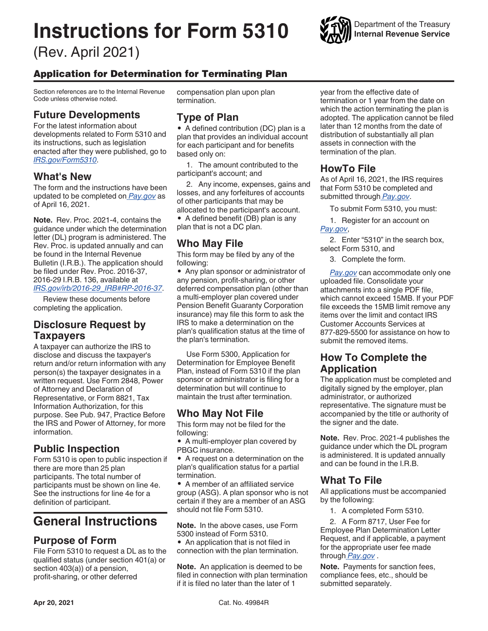# **Instructions for Form 5310**

(Rev. April 2021)



# Application for Determination for Terminating Plan

Section references are to the Internal Revenue Code unless otherwise noted.

#### **Future Developments**

For the latest information about developments related to Form 5310 and its instructions, such as legislation enacted after they were published, go to *[IRS.gov/Form5310](https://www.irs.gov/form5310)*.

#### **What's New**

The form and the instructions have been updated to be completed on *[Pay.gov](https://pay.gov/public/home)* as of April 16, 2021.

**Note.** Rev. Proc. 2021-4, contains the guidance under which the determination letter (DL) program is administered. The Rev. Proc. is updated annually and can be found in the Internal Revenue Bulletin (I.R.B.). The application should be filed under Rev. Proc. 2016-37, 2016-29 I.R.B. 136, available at *[IRS.gov/irb/2016-29\\_IRB#RP-2016-37](https://www.irs.gov/irb/2016-29_IRB#RP-2016-37)*.

Review these documents before completing the application.

#### **Disclosure Request by Taxpayers**

A taxpayer can authorize the IRS to disclose and discuss the taxpayer's return and/or return information with any person(s) the taxpayer designates in a written request. Use Form 2848, Power of Attorney and Declaration of Representative, or Form 8821, Tax Information Authorization, for this purpose. See Pub. 947, Practice Before the IRS and Power of Attorney, for more information.

#### **Public Inspection**

Form 5310 is open to public inspection if there are more than 25 plan participants. The total number of participants must be shown on line 4e. See the instructions for line 4e for a definition of participant.

# **General Instructions**

#### **Purpose of Form**

File Form 5310 to request a DL as to the qualified status (under section 401(a) or section 403(a)) of a pension, profit-sharing, or other deferred

compensation plan upon plan termination.

#### **Type of Plan**

• A defined contribution (DC) plan is a plan that provides an individual account for each participant and for benefits based only on:

1. The amount contributed to the participant's account; and

2. Any income, expenses, gains and losses, and any forfeitures of accounts of other participants that may be allocated to the participant's account.

• A defined benefit (DB) plan is any plan that is not a DC plan.

### **Who May File**

This form may be filed by any of the following:

• Any plan sponsor or administrator of any pension, profit-sharing, or other deferred compensation plan (other than a multi-employer plan covered under Pension Benefit Guaranty Corporation insurance) may file this form to ask the IRS to make a determination on the plan's qualification status at the time of the plan's termination.

Use Form 5300, Application for Determination for Employee Benefit Plan, instead of Form 5310 if the plan sponsor or administrator is filing for a determination but will continue to maintain the trust after termination.

# **Who May Not File**

This form may not be filed for the following:

• A multi-employer plan covered by PBGC insurance.

• A request on a determination on the plan's qualification status for a partial termination.

• A member of an affiliated service group (ASG). A plan sponsor who is not certain if they are a member of an ASG should not file Form 5310.

**Note.** In the above cases, use Form 5300 instead of Form 5310.

• An application that is not filed in connection with the plan termination.

**Note.** An application is deemed to be filed in connection with plan termination if it is filed no later than the later of 1

year from the effective date of termination or 1 year from the date on which the action terminating the plan is adopted. The application cannot be filed later than 12 months from the date of distribution of substantially all plan assets in connection with the termination of the plan.

#### **HowTo File**

As of April 16, 2021, the IRS requires that Form 5310 be completed and submitted through *[Pay.gov](https://pay.gov/public/home)*.

To submit Form 5310, you must:

1. Register for an account on *[Pay.gov](https://pay.gov/public/home)*,

2. Enter "5310" in the search box, select Form 5310, and

3. Complete the form.

*[Pay.gov](https://pay.gov/public/home)* can accommodate only one uploaded file. Consolidate your attachments into a single PDF file, which cannot exceed 15MB. If your PDF file exceeds the 15MB limit remove any items over the limit and contact IRS Customer Accounts Services at 877-829-5500 for assistance on how to submit the removed items.

#### **How To Complete the Application**

The application must be completed and digitally signed by the employer, plan administrator, or authorized representative. The signature must be accompanied by the title or authority of the signer and the date.

**Note.** Rev. Proc. 2021-4 publishes the guidance under which the DL program is administered. It is updated annually and can be found in the I.R.B.

# **What To File**

All applications must be accompanied by the following:

1. A completed Form 5310.

2. A Form 8717, User Fee for Employee Plan Determination Letter Request, and if applicable, a payment for the appropriate user fee made through *[Pay.gov](https://pay.gov/public/home)* .

**Note.** Payments for sanction fees, compliance fees, etc., should be submitted separately.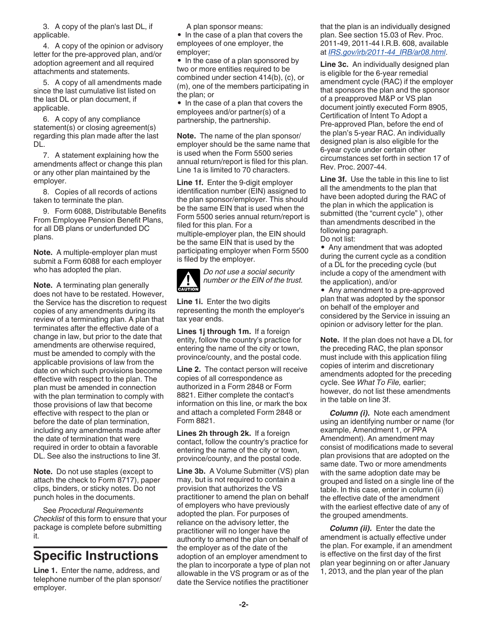3. A copy of the plan's last DL, if applicable.

4. A copy of the opinion or advisory letter for the pre-approved plan, and/or adoption agreement and all required attachments and statements.

5. A copy of all amendments made since the last cumulative list listed on the last DL or plan document, if applicable.

6. A copy of any compliance statement(s) or closing agreement(s) regarding this plan made after the last DL.

7. A statement explaining how the amendments affect or change this plan or any other plan maintained by the employer.

8. Copies of all records of actions taken to terminate the plan.

9. Form 6088, Distributable Benefits From Employee Pension Benefit Plans, for all DB plans or underfunded DC plans.

**Note.** A multiple-employer plan must submit a Form 6088 for each employer who has adopted the plan.

**Note.** A terminating plan generally does not have to be restated. However, the Service has the discretion to request copies of any amendments during its review of a terminating plan. A plan that terminates after the effective date of a change in law, but prior to the date that amendments are otherwise required, must be amended to comply with the applicable provisions of law from the date on which such provisions become effective with respect to the plan. The plan must be amended in connection with the plan termination to comply with those provisions of law that become effective with respect to the plan or before the date of plan termination, including any amendments made after the date of termination that were required in order to obtain a favorable DL. See also the instructions to line 3f.

**Note.** Do not use staples (except to attach the check to Form 8717), paper clips, binders, or sticky notes. Do not punch holes in the documents.

See *Procedural Requirements Checklist* of this form to ensure that your package is complete before submitting it.

# **Specific Instructions**

**Line 1.** Enter the name, address, and telephone number of the plan sponsor/ employer.

A plan sponsor means:

• In the case of a plan that covers the employees of one employer, the employer;

• In the case of a plan sponsored by two or more entities required to be combined under section 414(b), (c), or (m), one of the members participating in the plan; or

• In the case of a plan that covers the employees and/or partner(s) of a partnership, the partnership.

**Note.** The name of the plan sponsor/ employer should be the same name that is used when the Form 5500 series annual return/report is filed for this plan. Line 1a is limited to 70 characters.

**Line 1f.** Enter the 9-digit employer identification number (EIN) assigned to the plan sponsor/employer. This should be the same EIN that is used when the Form 5500 series annual return/report is filed for this plan. For a multiple-employer plan, the EIN should be the same EIN that is used by the participating employer when Form 5500 is filed by the employer.



*Do not use a social security number or the EIN of the trust.*

**Line 1i.** Enter the two digits representing the month the employer's tax year ends.

**Lines 1j through 1m.** If a foreign entity, follow the country's practice for entering the name of the city or town, province/county, and the postal code.

**Line 2.** The contact person will receive copies of all correspondence as authorized in a Form 2848 or Form 8821. Either complete the contact's information on this line, or mark the box and attach a completed Form 2848 or Form 8821.

**Lines 2h through 2k.** If a foreign contact, follow the country's practice for entering the name of the city or town, province/county, and the postal code.

**Line 3b.** A Volume Submitter (VS) plan may, but is not required to contain a provision that authorizes the VS practitioner to amend the plan on behalf of employers who have previously adopted the plan. For purposes of reliance on the advisory letter, the practitioner will no longer have the authority to amend the plan on behalf of the employer as of the date of the adoption of an employer amendment to the plan to incorporate a type of plan not allowable in the VS program or as of the date the Service notifies the practitioner

that the plan is an individually designed plan. See section 15.03 of Rev. Proc. 2011-49, 2011-44 I.R.B. 608, available at *[IRS.gov/irb/2011-44\\_IRB/ar08.html](https://www.irs.gov/irb/2011-44_IRB/ar08.html)*.

**Line 3c.** An individually designed plan is eligible for the 6-year remedial amendment cycle (RAC) if the employer that sponsors the plan and the sponsor of a preapproved M&P or VS plan document jointly executed Form 8905, Certification of Intent To Adopt a Pre-approved Plan, before the end of the plan's 5-year RAC. An individually designed plan is also eligible for the 6-year cycle under certain other circumstances set forth in section 17 of Rev. Proc. 2007-44.

**Line 3f.** Use the table in this line to list all the amendments to the plan that have been adopted during the RAC of the plan in which the application is submitted (the "current cycle" ), other than amendments described in the following paragraph.

Do not list:

• Any amendment that was adopted during the current cycle as a condition of a DL for the preceding cycle (but include a copy of the amendment with the application), and/or

• Any amendment to a pre-approved plan that was adopted by the sponsor on behalf of the employer and considered by the Service in issuing an opinion or advisory letter for the plan.

**Note.** If the plan does not have a DL for the preceding RAC, the plan sponsor must include with this application filing copies of interim and discretionary amendments adopted for the preceding cycle. See *What To File,* earlier; however, do not list these amendments in the table on line 3f.

*Column (i).* Note each amendment using an identifying number or name (for example, Amendment 1, or PPA Amendment). An amendment may consist of modifications made to several plan provisions that are adopted on the same date. Two or more amendments with the same adoption date may be grouped and listed on a single line of the table. In this case, enter in column (ii) the effective date of the amendment with the earliest effective date of any of the grouped amendments.

*Column (ii).* Enter the date the amendment is actually effective under the plan. For example, if an amendment is effective on the first day of the first plan year beginning on or after January 1, 2013, and the plan year of the plan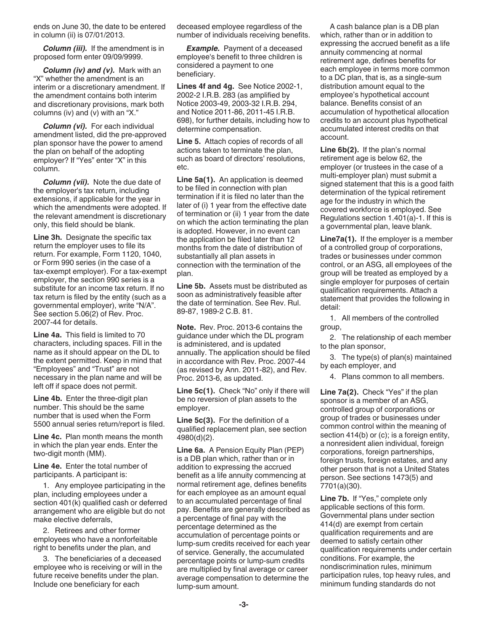ends on June 30, the date to be entered in column (ii) is 07/01/2013.

*Column (iii).* If the amendment is in proposed form enter 09/09/9999.

*Column (iv) and (v).* Mark with an "X" whether the amendment is an interim or a discretionary amendment. If the amendment contains both interim and discretionary provisions, mark both columns (iv) and (v) with an "X."

*Column (vi).* For each individual amendment listed, did the pre-approved plan sponsor have the power to amend the plan on behalf of the adopting employer? If "Yes" enter "X" in this column.

*Column (vii).* Note the due date of the employer's tax return, including extensions, if applicable for the year in which the amendments were adopted. If the relevant amendment is discretionary only, this field should be blank.

**Line 3h.** Designate the specific tax return the employer uses to file its return. For example, Form 1120, 1040, or Form 990 series (in the case of a tax-exempt employer). For a tax-exempt employer, the section 990 series is a substitute for an income tax return. If no tax return is filed by the entity (such as a governmental employer), write "N/A". See section 5.06(2) of Rev. Proc. 2007-44 for details.

**Line 4a.** This field is limited to 70 characters, including spaces. Fill in the name as it should appear on the DL to the extent permitted. Keep in mind that "Employees" and "Trust" are not necessary in the plan name and will be left off if space does not permit.

**Line 4b.** Enter the three-digit plan number. This should be the same number that is used when the Form 5500 annual series return/report is filed.

**Line 4c.** Plan month means the month in which the plan year ends. Enter the two-digit month (MM).

**Line 4e.** Enter the total number of participants. A participant is:

1. Any employee participating in the plan, including employees under a section 401(k) qualified cash or deferred arrangement who are eligible but do not make elective deferrals,

2. Retirees and other former employees who have a nonforfeitable right to benefits under the plan, and

3. The beneficiaries of a deceased employee who is receiving or will in the future receive benefits under the plan. Include one beneficiary for each

deceased employee regardless of the number of individuals receiving benefits.

**Example.** Payment of a deceased employee's benefit to three children is considered a payment to one beneficiary.

**Lines 4f and 4g.** See Notice 2002-1, 2002-2 I.R.B. 283 (as amplified by Notice 2003-49, 2003-32 I.R.B. 294, and Notice 2011-86, 2011-45 I.R.B. 698), for further details, including how to determine compensation.

**Line 5.** Attach copies of records of all actions taken to terminate the plan, such as board of directors' resolutions, etc.

**Line 5a(1).** An application is deemed to be filed in connection with plan termination if it is filed no later than the later of (i) 1 year from the effective date of termination or (ii) 1 year from the date on which the action terminating the plan is adopted. However, in no event can the application be filed later than 12 months from the date of distribution of substantially all plan assets in connection with the termination of the plan.

**Line 5b.** Assets must be distributed as soon as administratively feasible after the date of termination. See Rev. Rul. 89-87, 1989-2 C.B. 81.

**Note.** Rev. Proc. 2013-6 contains the guidance under which the DL program is administered, and is updated annually. The application should be filed in accordance with Rev. Proc. 2007-44 (as revised by Ann. 2011-82), and Rev. Proc. 2013-6, as updated.

**Line 5c(1).** Check "No" only if there will be no reversion of plan assets to the employer.

**Line 5c(3).** For the definition of a qualified replacement plan, see section 4980(d)(2).

**Line 6a.** A Pension Equity Plan (PEP) is a DB plan which, rather than or in addition to expressing the accrued benefit as a life annuity commencing at normal retirement age, defines benefits for each employee as an amount equal to an accumulated percentage of final pay. Benefits are generally described as a percentage of final pay with the percentage determined as the accumulation of percentage points or lump-sum credits received for each year of service. Generally, the accumulated percentage points or lump-sum credits are multiplied by final average or career average compensation to determine the lump-sum amount.

A cash balance plan is a DB plan which, rather than or in addition to expressing the accrued benefit as a life annuity commencing at normal retirement age, defines benefits for each employee in terms more common to a DC plan, that is, as a single-sum distribution amount equal to the employee's hypothetical account balance. Benefits consist of an accumulation of hypothetical allocation credits to an account plus hypothetical accumulated interest credits on that account.

**Line 6b(2).** If the plan's normal retirement age is below 62, the employer (or trustees in the case of a multi-employer plan) must submit a signed statement that this is a good faith determination of the typical retirement age for the industry in which the covered workforce is employed. See Regulations section 1.401(a)-1. If this is a governmental plan, leave blank.

**Line7a(1).** If the employer is a member of a controlled group of corporations, trades or businesses under common control, or an ASG, all employees of the group will be treated as employed by a single employer for purposes of certain qualification requirements. Attach a statement that provides the following in detail:

1. All members of the controlled group,

2. The relationship of each member to the plan sponsor,

3. The type(s) of plan(s) maintained by each employer, and

4. Plans common to all members.

**Line 7a(2).** Check "Yes" if the plan sponsor is a member of an ASG, controlled group of corporations or group of trades or businesses under common control within the meaning of section 414(b) or (c); is a foreign entity, a nonresident alien individual, foreign corporations, foreign partnerships, foreign trusts, foreign estates, and any other person that is not a United States person. See sections 1473(5) and 7701(a)(30).

**Line 7b.** If "Yes," complete only applicable sections of this form. Governmental plans under section 414(d) are exempt from certain qualification requirements and are deemed to satisfy certain other qualification requirements under certain conditions. For example, the nondiscrimination rules, minimum participation rules, top heavy rules, and minimum funding standards do not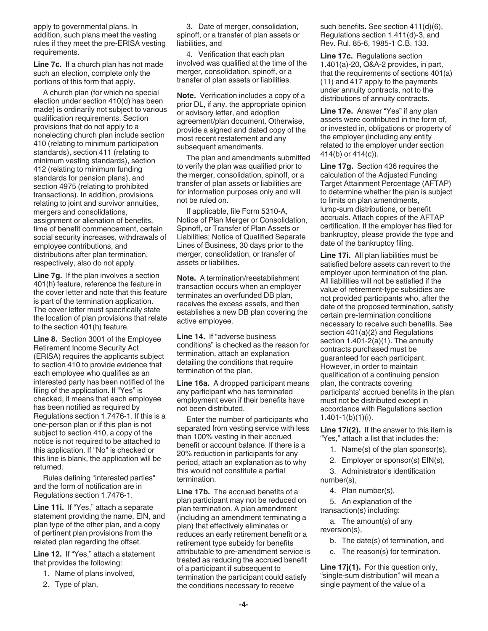apply to governmental plans. In addition, such plans meet the vesting rules if they meet the pre-ERISA vesting requirements.

**Line 7c.** If a church plan has not made such an election, complete only the portions of this form that apply.

A church plan (for which no special election under section 410(d) has been made) is ordinarily not subject to various qualification requirements. Section provisions that do not apply to a nonelecting church plan include section 410 (relating to minimum participation standards), section 411 (relating to minimum vesting standards), section 412 (relating to minimum funding standards for pension plans), and section 4975 (relating to prohibited transactions). In addition, provisions relating to joint and survivor annuities, mergers and consolidations, assignment or alienation of benefits, time of benefit commencement, certain social security increases, withdrawals of employee contributions, and distributions after plan termination, respectively, also do not apply.

**Line 7g.** If the plan involves a section 401(h) feature, reference the feature in the cover letter and note that this feature is part of the termination application. The cover letter must specifically state the location of plan provisions that relate to the section 401(h) feature.

**Line 8.** Section 3001 of the Employee Retirement Income Security Act (ERISA) requires the applicants subject to section 410 to provide evidence that each employee who qualifies as an interested party has been notified of the filing of the application. If "Yes" is checked, it means that each employee has been notified as required by Regulations section 1.7476-1. If this is a one-person plan or if this plan is not subject to section 410, a copy of the notice is not required to be attached to this application. If "No" is checked or this line is blank, the application will be returned.

Rules defining "interested parties" and the form of notification are in Regulations section 1.7476-1.

**Line 11i.** If "Yes," attach a separate statement providing the name, EIN, and plan type of the other plan, and a copy of pertinent plan provisions from the related plan regarding the offset.

**Line 12.** If "Yes," attach a statement that provides the following:

- 1. Name of plans involved,
- 2. Type of plan,

3. Date of merger, consolidation, spinoff, or a transfer of plan assets or liabilities, and

4. Verification that each plan involved was qualified at the time of the merger, consolidation, spinoff, or a transfer of plan assets or liabilities.

**Note.** Verification includes a copy of a prior DL, if any, the appropriate opinion or advisory letter, and adoption agreement/plan document. Otherwise, provide a signed and dated copy of the most recent restatement and any subsequent amendments.

The plan and amendments submitted to verify the plan was qualified prior to the merger, consolidation, spinoff, or a transfer of plan assets or liabilities are for information purposes only and will not be ruled on.

If applicable, file Form 5310-A, Notice of Plan Merger or Consolidation, Spinoff, or Transfer of Plan Assets or Liabilities; Notice of Qualified Separate Lines of Business, 30 days prior to the merger, consolidation, or transfer of assets or liabilities.

**Note.** A termination/reestablishment transaction occurs when an employer terminates an overfunded DB plan, receives the excess assets, and then establishes a new DB plan covering the active employee.

**Line 14.** If "adverse business conditions" is checked as the reason for termination, attach an explanation detailing the conditions that require termination of the plan.

**Line 16a.** A dropped participant means any participant who has terminated employment even if their benefits have not been distributed.

Enter the number of participants who separated from vesting service with less than 100% vesting in their accrued benefit or account balance. If there is a 20% reduction in participants for any period, attach an explanation as to why this would not constitute a partial termination.

**Line 17b.** The accrued benefits of a plan participant may not be reduced on plan termination. A plan amendment (including an amendment terminating a plan) that effectively eliminates or reduces an early retirement benefit or a retirement type subsidy for benefits attributable to pre-amendment service is treated as reducing the accrued benefit of a participant if subsequent to termination the participant could satisfy the conditions necessary to receive

such benefits. See section 411(d)(6), Regulations section 1.411(d)-3, and Rev. Rul. 85-6, 1985-1 C.B. 133.

**Line 17c.** Regulations section 1.401(a)-20, Q&A-2 provides, in part, that the requirements of sections 401(a) (11) and 417 apply to the payments under annuity contracts, not to the distributions of annuity contracts.

**Line 17e.** Answer "Yes" if any plan assets were contributed in the form of, or invested in, obligations or property of the employer (including any entity related to the employer under section 414(b) or 414(c)).

**Line 17g.** Section 436 requires the calculation of the Adjusted Funding Target Attainment Percentage (AFTAP) to determine whether the plan is subject to limits on plan amendments, lump-sum distributions, or benefit accruals. Attach copies of the AFTAP certification. If the employer has filed for bankruptcy, please provide the type and date of the bankruptcy filing.

**Line 17i.** All plan liabilities must be satisfied before assets can revert to the employer upon termination of the plan. All liabilities will not be satisfied if the value of retirement-type subsidies are not provided participants who, after the date of the proposed termination, satisfy certain pre-termination conditions necessary to receive such benefits. See section 401(a)(2) and Regulations section 1.401-2(a)(1). The annuity contracts purchased must be guaranteed for each participant. However, in order to maintain qualification of a continuing pension plan, the contracts covering participants' accrued benefits in the plan must not be distributed except in accordance with Regulations section  $1.401 - 1(b)(1)(i)$ .

**Line 17i(2).** If the answer to this item is "Yes," attach a list that includes the:

1. Name(s) of the plan sponsor(s),

- 2. Employer or sponsor(s) EIN(s),
- 3. Administrator's identification number(s),

4. Plan number(s),

5. An explanation of the transaction(s) including:

a. The amount(s) of any reversion(s),

- b. The date(s) of termination, and
- c. The reason(s) for termination.

**Line 17j(1).** For this question only, "single-sum distribution" will mean a single payment of the value of a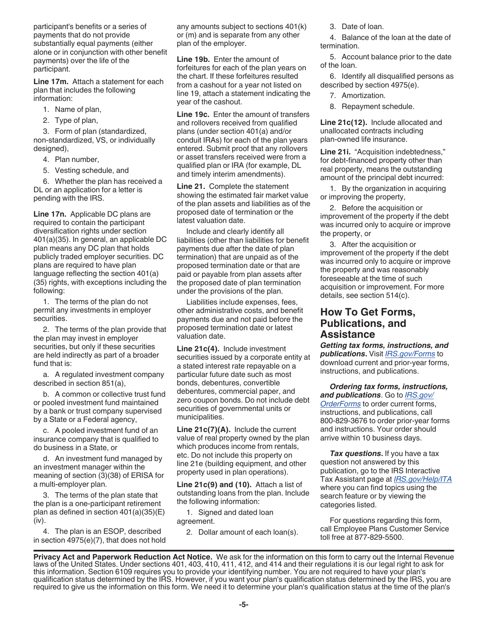participant's benefits or a series of payments that do not provide substantially equal payments (either alone or in conjunction with other benefit payments) over the life of the participant.

**Line 17m.** Attach a statement for each plan that includes the following information:

- 1. Name of plan,
- 2. Type of plan,

3. Form of plan (standardized, non-standardized, VS, or individually designed),

- 4. Plan number,
- 5. Vesting schedule, and

6. Whether the plan has received a DL or an application for a letter is pending with the IRS.

**Line 17n.** Applicable DC plans are required to contain the participant diversification rights under section 401(a)(35). In general, an applicable DC plan means any DC plan that holds publicly traded employer securities. DC plans are required to have plan language reflecting the section 401(a) (35) rights, with exceptions including the following:

1. The terms of the plan do not permit any investments in employer securities.

2. The terms of the plan provide that the plan may invest in employer securities, but only if these securities are held indirectly as part of a broader fund that is:

a. A regulated investment company described in section 851(a),

b. A common or collective trust fund or pooled investment fund maintained by a bank or trust company supervised by a State or a Federal agency,

c. A pooled investment fund of an insurance company that is qualified to do business in a State, or

d. An investment fund managed by an investment manager within the meaning of section (3)(38) of ERISA for a multi-employer plan.

3. The terms of the plan state that the plan is a one-participant retirement plan as defined in section 401(a)(35)(E) (iv).

4. The plan is an ESOP, described in section 4975(e)(7), that does not hold any amounts subject to sections 401(k) or (m) and is separate from any other plan of the employer.

**Line 19b.** Enter the amount of forfeitures for each of the plan years on the chart. If these forfeitures resulted from a cashout for a year not listed on line 19, attach a statement indicating the year of the cashout.

**Line 19c.** Enter the amount of transfers and rollovers received from qualified plans (under section 401(a) and/or conduit IRAs) for each of the plan years entered. Submit proof that any rollovers or asset transfers received were from a qualified plan or IRA (for example, DL and timely interim amendments).

**Line 21.** Complete the statement showing the estimated fair market value of the plan assets and liabilities as of the proposed date of termination or the latest valuation date.

Include and clearly identify all liabilities (other than liabilities for benefit payments due after the date of plan termination) that are unpaid as of the proposed termination date or that are paid or payable from plan assets after the proposed date of plan termination under the provisions of the plan.

Liabilities include expenses, fees, other administrative costs, and benefit payments due and not paid before the proposed termination date or latest valuation date.

**Line 21c(4).** Include investment securities issued by a corporate entity at a stated interest rate repayable on a particular future date such as most bonds, debentures, convertible debentures, commercial paper, and zero coupon bonds. Do not include debt securities of governmental units or municipalities.

**Line 21c(7)(A).** Include the current value of real property owned by the plan which produces income from rentals, etc. Do not include this property on line 21e (building equipment, and other property used in plan operations).

**Line 21c(9) and (10).** Attach a list of outstanding loans from the plan. Include the following information:

1. Signed and dated loan agreement.

2. Dollar amount of each loan(s).

3. Date of loan.

4. Balance of the loan at the date of termination.

5. Account balance prior to the date of the loan.

6. Identify all disqualified persons as described by section 4975(e).

7. Amortization.

8. Repayment schedule.

**Line 21c(12).** Include allocated and unallocated contracts including plan-owned life insurance.

**Line 21i.** "Acquisition indebtedness," for debt-financed property other than real property, means the outstanding amount of the principal debt incurred:

1. By the organization in acquiring or improving the property,

2. Before the acquisition or improvement of the property if the debt was incurred only to acquire or improve the property, or

3. After the acquisition or improvement of the property if the debt was incurred only to acquire or improve the property and was reasonably foreseeable at the time of such acquisition or improvement. For more details, see section 514(c).

#### **How To Get Forms, Publications, and Assistance**

*Getting tax forms, instructions, and publications***.** Visit *[IRS.gov/Forms](https://www.irs.gov/forms-instructions)* to download current and prior-year forms, instructions, and publications.

*Ordering tax forms, instructions, and publications*. Go to *[IRS.gov/](https://www.irs.gov/OrderForms) [OrderForms](https://www.irs.gov/OrderForms)* to order current forms, instructions, and publications, call 800-829-3676 to order prior-year forms and instructions. Your order should arrive within 10 business days.

*Tax questions***.** If you have a tax question not answered by this publication, go to the IRS Interactive Tax Assistant page at *[IRS.gov/Help/ITA](https://www.irs.gov/help/ita)*  where you can find topics using the search feature or by viewing the categories listed.

For questions regarding this form, call Employee Plans Customer Service toll free at 877-829-5500.

**Privacy Act and Paperwork Reduction Act Notice.** We ask for the information on this form to carry out the Internal Revenue laws of the United States. Under sections 401, 403, 410, 411, 412, and 414 and their regulations it is our legal right to ask for this information. Section 6109 requires you to provide your identifying number. You are not required to have your plan's qualification status determined by the IRS. However, if you want your plan's qualification status determined by the IRS, you are required to give us the information on this form. We need it to determine your plan's qualification status at the time of the plan's